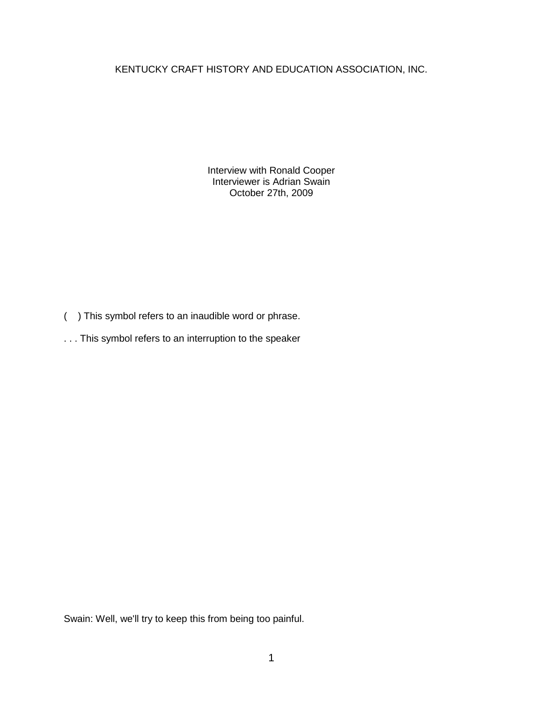KENTUCKY CRAFT HISTORY AND EDUCATION ASSOCIATION, INC.

Interview with Ronald Cooper Interviewer is Adrian Swain October 27th, 2009

- ( ) This symbol refers to an inaudible word or phrase.
- . . . This symbol refers to an interruption to the speaker

Swain: Well, we'll try to keep this from being too painful.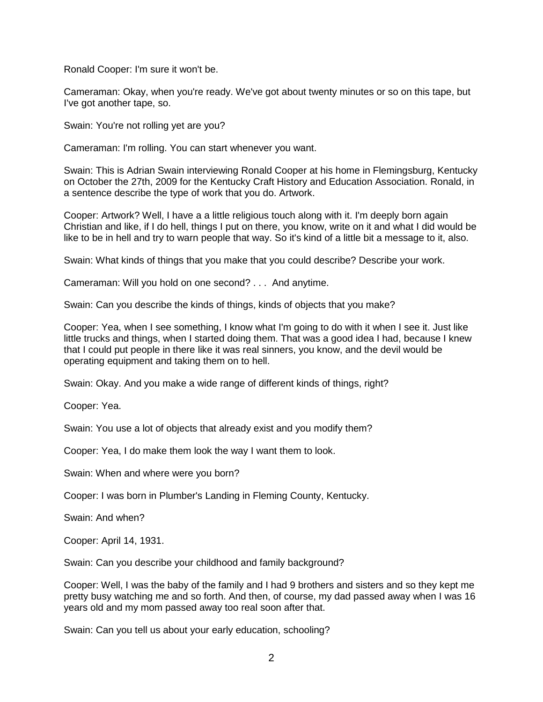Ronald Cooper: I'm sure it won't be.

Cameraman: Okay, when you're ready. We've got about twenty minutes or so on this tape, but I've got another tape, so.

Swain: You're not rolling yet are you?

Cameraman: I'm rolling. You can start whenever you want.

Swain: This is Adrian Swain interviewing Ronald Cooper at his home in Flemingsburg, Kentucky on October the 27th, 2009 for the Kentucky Craft History and Education Association. Ronald, in a sentence describe the type of work that you do. Artwork.

Cooper: Artwork? Well, I have a a little religious touch along with it. I'm deeply born again Christian and like, if I do hell, things I put on there, you know, write on it and what I did would be like to be in hell and try to warn people that way. So it's kind of a little bit a message to it, also.

Swain: What kinds of things that you make that you could describe? Describe your work.

Cameraman: Will you hold on one second? . . . And anytime.

Swain: Can you describe the kinds of things, kinds of objects that you make?

Cooper: Yea, when I see something, I know what I'm going to do with it when I see it. Just like little trucks and things, when I started doing them. That was a good idea I had, because I knew that I could put people in there like it was real sinners, you know, and the devil would be operating equipment and taking them on to hell.

Swain: Okay. And you make a wide range of different kinds of things, right?

Cooper: Yea.

Swain: You use a lot of objects that already exist and you modify them?

Cooper: Yea, I do make them look the way I want them to look.

Swain: When and where were you born?

Cooper: I was born in Plumber's Landing in Fleming County, Kentucky.

Swain: And when?

Cooper: April 14, 1931.

Swain: Can you describe your childhood and family background?

Cooper: Well, I was the baby of the family and I had 9 brothers and sisters and so they kept me pretty busy watching me and so forth. And then, of course, my dad passed away when I was 16 years old and my mom passed away too real soon after that.

Swain: Can you tell us about your early education, schooling?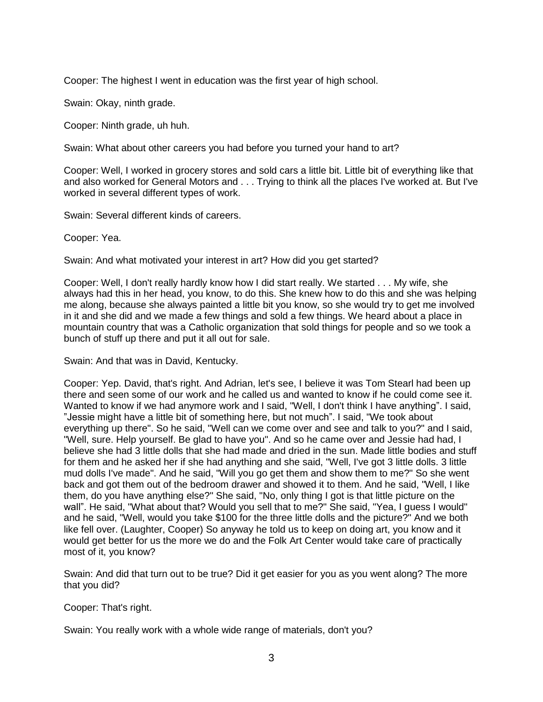Cooper: The highest I went in education was the first year of high school.

Swain: Okay, ninth grade.

Cooper: Ninth grade, uh huh.

Swain: What about other careers you had before you turned your hand to art?

Cooper: Well, I worked in grocery stores and sold cars a little bit. Little bit of everything like that and also worked for General Motors and . . . Trying to think all the places I've worked at. But I've worked in several different types of work.

Swain: Several different kinds of careers.

Cooper: Yea.

Swain: And what motivated your interest in art? How did you get started?

Cooper: Well, I don't really hardly know how I did start really. We started . . . My wife, she always had this in her head, you know, to do this. She knew how to do this and she was helping me along, because she always painted a little bit you know, so she would try to get me involved in it and she did and we made a few things and sold a few things. We heard about a place in mountain country that was a Catholic organization that sold things for people and so we took a bunch of stuff up there and put it all out for sale.

Swain: And that was in David, Kentucky.

Cooper: Yep. David, that's right. And Adrian, let's see, I believe it was Tom Stearl had been up there and seen some of our work and he called us and wanted to know if he could come see it. Wanted to know if we had anymore work and I said, "Well, I don't think I have anything". I said, "Jessie might have a little bit of something here, but not much". I said, "We took about everything up there". So he said, "Well can we come over and see and talk to you?" and I said, "Well, sure. Help yourself. Be glad to have you". And so he came over and Jessie had had, I believe she had 3 little dolls that she had made and dried in the sun. Made little bodies and stuff for them and he asked her if she had anything and she said, "Well, I've got 3 little dolls. 3 little mud dolls I've made". And he said, "Will you go get them and show them to me?" So she went back and got them out of the bedroom drawer and showed it to them. And he said, "Well, I like them, do you have anything else?" She said, "No, only thing I got is that little picture on the wall". He said, "What about that? Would you sell that to me?" She said, "Yea, I guess I would" and he said, "Well, would you take \$100 for the three little dolls and the picture?" And we both like fell over. (Laughter, Cooper) So anyway he told us to keep on doing art, you know and it would get better for us the more we do and the Folk Art Center would take care of practically most of it, you know?

Swain: And did that turn out to be true? Did it get easier for you as you went along? The more that you did?

Cooper: That's right.

Swain: You really work with a whole wide range of materials, don't you?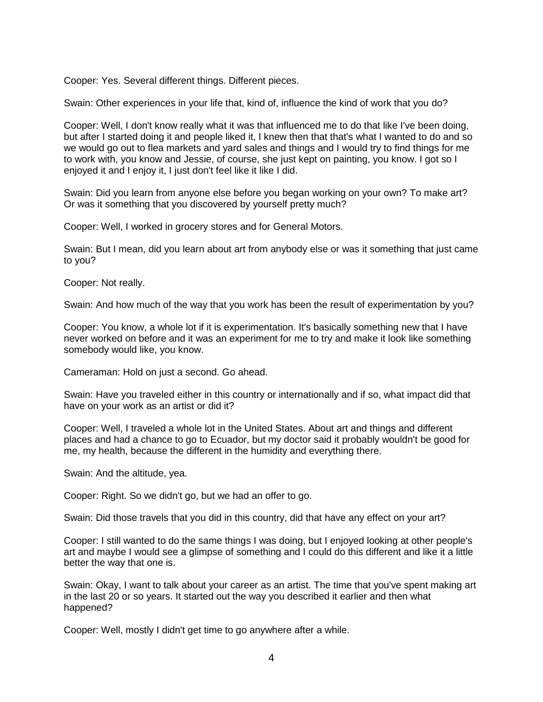Cooper: Yes. Several different things. Different pieces.

Swain: Other experiences in your life that, kind of, influence the kind of work that you do?

Cooper: Well, I don't know really what it was that influenced me to do that like I've been doing, but after I started doing it and people liked it, I knew then that that's what I wanted to do and so we would go out to flea markets and yard sales and things and I would try to find things for me to work with, you know and Jessie, of course, she just kept on painting, you know. I got so I enjoyed it and I enjoy it, I just don't feel like it like I did.

Swain: Did you learn from anyone else before you began working on your own? To make art? Or was it something that you discovered by yourself pretty much?

Cooper: Well, I worked in grocery stores and for General Motors.

Swain: But I mean, did you learn about art from anybody else or was it something that just came to you?

Cooper: Not really.

Swain: And how much of the way that you work has been the result of experimentation by you?

Cooper: You know, a whole lot if it is experimentation. It's basically something new that I have never worked on before and it was an experiment for me to try and make it look like something somebody would like, you know.

Cameraman: Hold on just a second. Go ahead.

Swain: Have you traveled either in this country or internationally and if so, what impact did that have on your work as an artist or did it?

Cooper: Well, I traveled a whole lot in the United States. About art and things and different places and had a chance to go to Ecuador, but my doctor said it probably wouldn't be good for me, my health, because the different in the humidity and everything there.

Swain: And the altitude, yea.

Cooper: Right. So we didn't go, but we had an offer to go.

Swain: Did those travels that you did in this country, did that have any effect on your art?

Cooper: I still wanted to do the same things I was doing, but I enjoyed looking at other people's art and maybe I would see a glimpse of something and I could do this different and like it a little better the way that one is.

Swain: Okay, I want to talk about your career as an artist. The time that you've spent making art in the last 20 or so years. It started out the way you described it earlier and then what happened?

Cooper: Well, mostly I didn't get time to go anywhere after a while.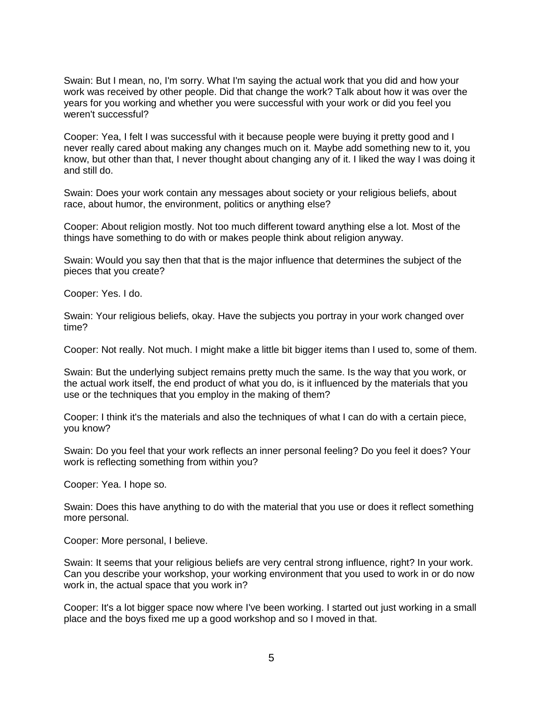Swain: But I mean, no, I'm sorry. What I'm saying the actual work that you did and how your work was received by other people. Did that change the work? Talk about how it was over the years for you working and whether you were successful with your work or did you feel you weren't successful?

Cooper: Yea, I felt I was successful with it because people were buying it pretty good and I never really cared about making any changes much on it. Maybe add something new to it, you know, but other than that, I never thought about changing any of it. I liked the way I was doing it and still do.

Swain: Does your work contain any messages about society or your religious beliefs, about race, about humor, the environment, politics or anything else?

Cooper: About religion mostly. Not too much different toward anything else a lot. Most of the things have something to do with or makes people think about religion anyway.

Swain: Would you say then that that is the major influence that determines the subject of the pieces that you create?

Cooper: Yes. I do.

Swain: Your religious beliefs, okay. Have the subjects you portray in your work changed over time?

Cooper: Not really. Not much. I might make a little bit bigger items than I used to, some of them.

Swain: But the underlying subject remains pretty much the same. Is the way that you work, or the actual work itself, the end product of what you do, is it influenced by the materials that you use or the techniques that you employ in the making of them?

Cooper: I think it's the materials and also the techniques of what I can do with a certain piece, you know?

Swain: Do you feel that your work reflects an inner personal feeling? Do you feel it does? Your work is reflecting something from within you?

Cooper: Yea. I hope so.

Swain: Does this have anything to do with the material that you use or does it reflect something more personal.

Cooper: More personal, I believe.

Swain: It seems that your religious beliefs are very central strong influence, right? In your work. Can you describe your workshop, your working environment that you used to work in or do now work in, the actual space that you work in?

Cooper: It's a lot bigger space now where I've been working. I started out just working in a small place and the boys fixed me up a good workshop and so I moved in that.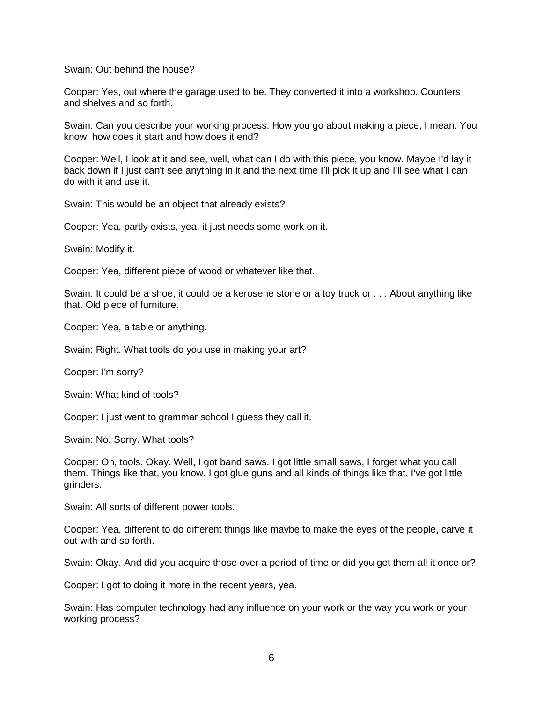Swain: Out behind the house?

Cooper: Yes, out where the garage used to be. They converted it into a workshop. Counters and shelves and so forth.

Swain: Can you describe your working process. How you go about making a piece, I mean. You know, how does it start and how does it end?

Cooper: Well, I look at it and see, well, what can I do with this piece, you know. Maybe I'd lay it back down if I just can't see anything in it and the next time I'll pick it up and I'll see what I can do with it and use it.

Swain: This would be an object that already exists?

Cooper: Yea, partly exists, yea, it just needs some work on it.

Swain: Modify it.

Cooper: Yea, different piece of wood or whatever like that.

Swain: It could be a shoe, it could be a kerosene stone or a toy truck or . . . About anything like that. Old piece of furniture.

Cooper: Yea, a table or anything.

Swain: Right. What tools do you use in making your art?

Cooper: I'm sorry?

Swain: What kind of tools?

Cooper: I just went to grammar school I guess they call it.

Swain: No. Sorry. What tools?

Cooper: Oh, tools. Okay. Well, I got band saws. I got little small saws, I forget what you call them. Things like that, you know. I got glue guns and all kinds of things like that. I've got little grinders.

Swain: All sorts of different power tools.

Cooper: Yea, different to do different things like maybe to make the eyes of the people, carve it out with and so forth.

Swain: Okay. And did you acquire those over a period of time or did you get them all it once or?

Cooper: I got to doing it more in the recent years, yea.

Swain: Has computer technology had any influence on your work or the way you work or your working process?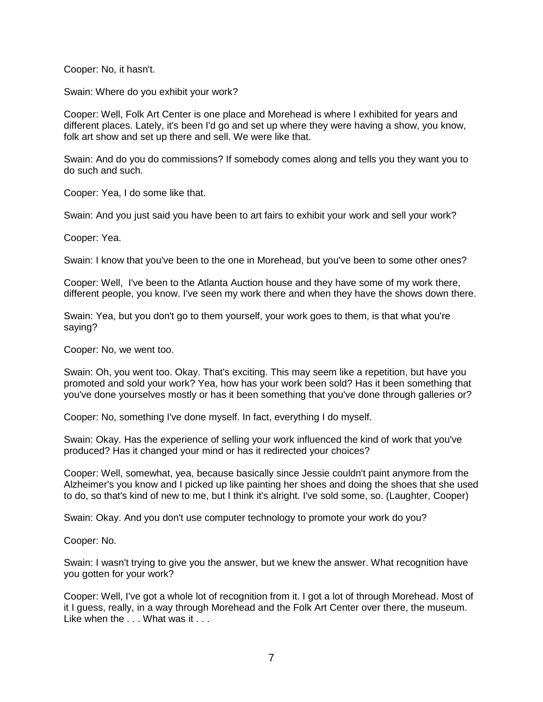Cooper: No, it hasn't.

Swain: Where do you exhibit your work?

Cooper: Well, Folk Art Center is one place and Morehead is where I exhibited for years and different places. Lately, it's been I'd go and set up where they were having a show, you know, folk art show and set up there and sell. We were like that.

Swain: And do you do commissions? If somebody comes along and tells you they want you to do such and such.

Cooper: Yea, I do some like that.

Swain: And you just said you have been to art fairs to exhibit your work and sell your work?

Cooper: Yea.

Swain: I know that you've been to the one in Morehead, but you've been to some other ones?

Cooper: Well, I've been to the Atlanta Auction house and they have some of my work there, different people, you know. I've seen my work there and when they have the shows down there.

Swain: Yea, but you don't go to them yourself, your work goes to them, is that what you're saying?

Cooper: No, we went too.

Swain: Oh, you went too. Okay. That's exciting. This may seem like a repetition, but have you promoted and sold your work? Yea, how has your work been sold? Has it been something that you've done yourselves mostly or has it been something that you've done through galleries or?

Cooper: No, something I've done myself. In fact, everything I do myself.

Swain: Okay. Has the experience of selling your work influenced the kind of work that you've produced? Has it changed your mind or has it redirected your choices?

Cooper: Well, somewhat, yea, because basically since Jessie couldn't paint anymore from the Alzheimer's you know and I picked up like painting her shoes and doing the shoes that she used to do, so that's kind of new to me, but I think it's alright. I've sold some, so. (Laughter, Cooper)

Swain: Okay. And you don't use computer technology to promote your work do you?

Cooper: No.

Swain: I wasn't trying to give you the answer, but we knew the answer. What recognition have you gotten for your work?

Cooper: Well, I've got a whole lot of recognition from it. I got a lot of through Morehead. Most of it I guess, really, in a way through Morehead and the Folk Art Center over there, the museum. Like when the . . . What was it . . .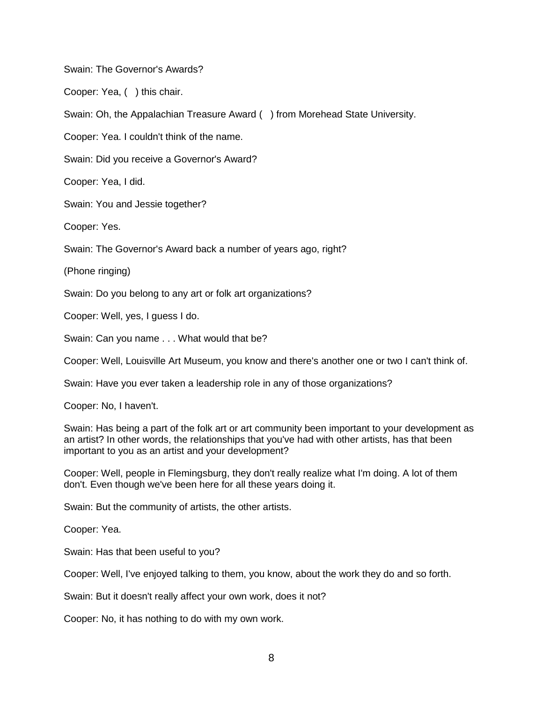Swain: The Governor's Awards?

Cooper: Yea, ( ) this chair.

Swain: Oh, the Appalachian Treasure Award ( ) from Morehead State University.

Cooper: Yea. I couldn't think of the name.

Swain: Did you receive a Governor's Award?

Cooper: Yea, I did.

Swain: You and Jessie together?

Cooper: Yes.

Swain: The Governor's Award back a number of years ago, right?

(Phone ringing)

Swain: Do you belong to any art or folk art organizations?

Cooper: Well, yes, I guess I do.

Swain: Can you name . . . What would that be?

Cooper: Well, Louisville Art Museum, you know and there's another one or two I can't think of.

Swain: Have you ever taken a leadership role in any of those organizations?

Cooper: No, I haven't.

Swain: Has being a part of the folk art or art community been important to your development as an artist? In other words, the relationships that you've had with other artists, has that been important to you as an artist and your development?

Cooper: Well, people in Flemingsburg, they don't really realize what I'm doing. A lot of them don't. Even though we've been here for all these years doing it.

Swain: But the community of artists, the other artists.

Cooper: Yea.

Swain: Has that been useful to you?

Cooper: Well, I've enjoyed talking to them, you know, about the work they do and so forth.

Swain: But it doesn't really affect your own work, does it not?

Cooper: No, it has nothing to do with my own work.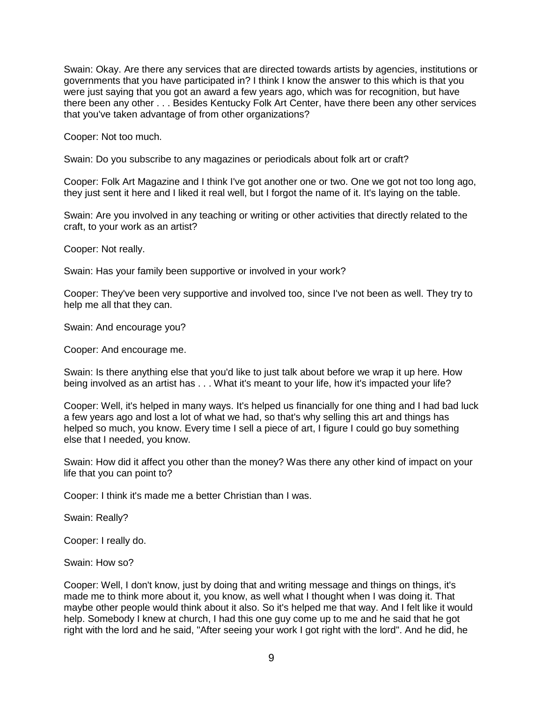Swain: Okay. Are there any services that are directed towards artists by agencies, institutions or governments that you have participated in? I think I know the answer to this which is that you were just saying that you got an award a few years ago, which was for recognition, but have there been any other . . . Besides Kentucky Folk Art Center, have there been any other services that you've taken advantage of from other organizations?

Cooper: Not too much.

Swain: Do you subscribe to any magazines or periodicals about folk art or craft?

Cooper: Folk Art Magazine and I think I've got another one or two. One we got not too long ago, they just sent it here and I liked it real well, but I forgot the name of it. It's laying on the table.

Swain: Are you involved in any teaching or writing or other activities that directly related to the craft, to your work as an artist?

Cooper: Not really.

Swain: Has your family been supportive or involved in your work?

Cooper: They've been very supportive and involved too, since I've not been as well. They try to help me all that they can.

Swain: And encourage you?

Cooper: And encourage me.

Swain: Is there anything else that you'd like to just talk about before we wrap it up here. How being involved as an artist has . . . What it's meant to your life, how it's impacted your life?

Cooper: Well, it's helped in many ways. It's helped us financially for one thing and I had bad luck a few years ago and lost a lot of what we had, so that's why selling this art and things has helped so much, you know. Every time I sell a piece of art, I figure I could go buy something else that I needed, you know.

Swain: How did it affect you other than the money? Was there any other kind of impact on your life that you can point to?

Cooper: I think it's made me a better Christian than I was.

Swain: Really?

Cooper: I really do.

Swain: How so?

Cooper: Well, I don't know, just by doing that and writing message and things on things, it's made me to think more about it, you know, as well what I thought when I was doing it. That maybe other people would think about it also. So it's helped me that way. And I felt like it would help. Somebody I knew at church, I had this one guy come up to me and he said that he got right with the lord and he said, "After seeing your work I got right with the lord". And he did, he